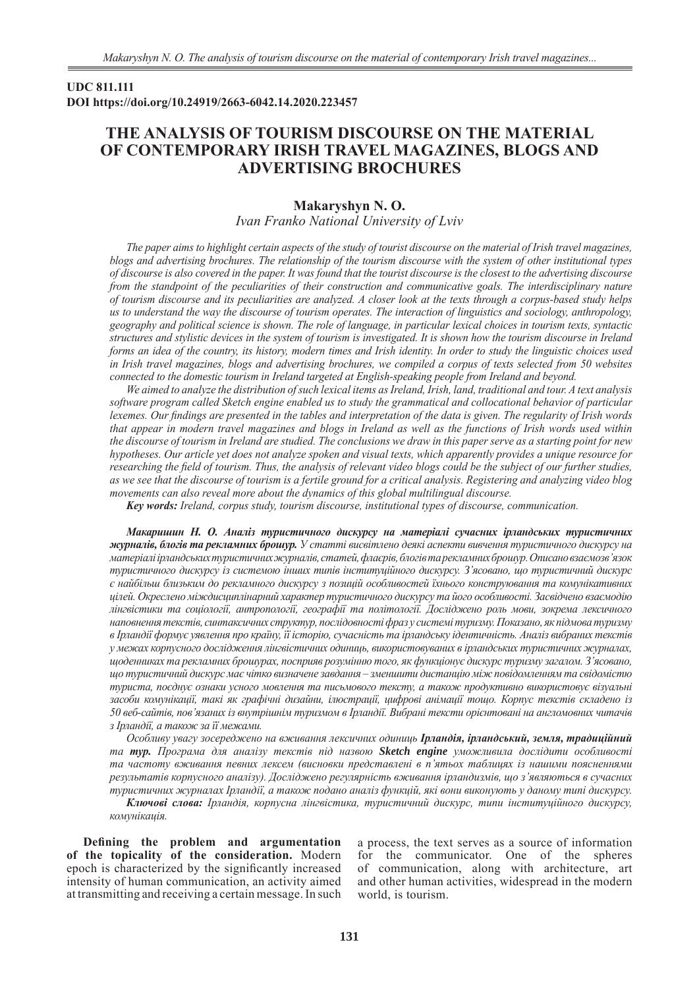## **UDC 811.111 DOI https://doi.org/10.24919/2663-6042.14.2020.223457**

# **THE ANALYSIS OF TOURISM DISCOURSE ON THE MATERIAL OF CONTEMPORARY IRISH TRAVEL MAGAZINES, BLOGS AND ADVERTISING BROCHURES**

# **Makaryshyn N. O.** *Ivan Franko National University of Lviv*

*The paper aims to highlight certain aspects of the study of tourist discourse on the material of Irish travel magazines, blogs and advertising brochures. The relationship of the tourism discourse with the system of other institutional types of discourse is also covered in the paper. It was found that the tourist discourse is the closest to the advertising discourse from the standpoint of the peculiarities of their construction and communicative goals. The interdisciplinary nature of tourism discourse and its peculiarities are analyzed. A closer look at the texts through a corpus-based study helps us to understand the way the discourse of tourism operates. The interaction of linguistics and sociology, anthropology, geography and political science is shown. The role of language, in particular lexical choices in tourism texts, syntactic structures and stylistic devices in the system of tourism is investigated. It is shown how the tourism discourse in Ireland forms an idea of the country, its history, modern times and Irish identity. In order to study the linguistic choices used in Irish travel magazines, blogs and advertising brochures, we compiled a corpus of texts selected from 50 websites connected to the domestic tourism in Ireland targeted at English-speaking people from Ireland and beyond.* 

*We aimed to analyze the distribution of such lexical items as Ireland, Irish, land, traditional and tour. A text analysis software program called Sketch engine enabled us to study the grammatical and collocational behavior of particular lexemes. Our findings are presented in the tables and interpretation of the data is given. The regularity of Irish words that appear in modern travel magazines and blogs in Ireland as well as the functions of Irish words used within the discourse of tourism in Ireland are studied. The conclusions we draw in this paper serve as a starting point for new hypotheses. Our article yet does not analyze spoken and visual texts, which apparently provides a unique resource for researching the field of tourism. Thus, the analysis of relevant video blogs could be the subject of our further studies, as we see that the discourse of tourism is a fertile ground for a critical analysis. Registering and analyzing video blog movements can also reveal more about the dynamics of this global multilingual discourse.*

*Key words: Ireland, corpus study, tourism discourse, institutional types of discourse, communication.*

*Макаришин Н. О. Аналіз туристичного дискурсу на матеріалі сучасних ірландських туристичних журналів, блогів та рекламних брошур. У статті висвітлено деякі аспекти вивчення туристичного дискурсу на матеріалі ірландських туристичних журналів, статей, флаєрів, блогів та рекламних брошур. Описано взаємозв'язок туристичного дискурсу із системою інших типів інституційного дискурсу. З'ясовано, що туристичний дискурс є найбільш близьким до рекламного дискурсу з позицій особливостей їхнього конструювання та комунікативних цілей. Окреслено міждисциплінарний характер туристичного дискурсу та його особливості. Засвідчено взаємодію лінгвістики та соціології, антропології, географії та політології. Досліджено роль мови, зокрема лексичного наповнення текстів, синтаксичних структур, послідовності фраз у системі туризму. Показано, як підмова туризму в Ірландії формує уявлення про країну, її історію, сучасність та ірландську ідентичність. Аналіз вибраних текстів у межах корпусного дослідження лінгвістичних одиниць, використовуваних в ірландських туристичних журналах, щоденниках та рекламних брошурах, посприяв розумінню того, як функціонує дискурс туризму загалом. З'ясовано, що туристичний дискурс має чiтко визначене завдання – зменшити дистанцiю мiж повiдомленням та свiдомiстю туриста, поєднує ознаки усного мовлення та письмового тексту, а також продуктивно використовує візуальні засоби комунікації, такі як графічні дизайни, ілюстрації, цифрові анімації тощо. Корпус текстів складено із 50 веб-сайтів, пов'язаних із внутрішнім туризмом в Ірландії. Вибрані тексти орієнтовані на англомовних читачів з Ірландії, а також за її межами.* 

*Особливу увагу зосереджено на вживання лексичних одиниць Ірландія, ірландський, земля, традиційний та тур. Програма для аналізу текстів під назвою Sketch engine уможливила дослідити особливості та частоту вживання певних лексем (висновки представлені в п'ятьох таблицях із нашими поясненнями результатів корпусного аналізу). Досліджено регулярність вживання ірландизмів, що з'являються в сучасних туристичних журналах Ірландії, а також подано аналіз функцій, які вони виконують у даному типі дискурсу. Ключові слова: Ірландія, корпусна лінгвістика, туристичний дискурс, типи інституційного дискурсу, комунікація.*

**Defining the problem and argumentation of the topicality of the consideration.** Modern epoch is characterized by the significantly increased intensity of human communication, an activity aimed at transmitting and receiving a certain message. In such a process, the text serves as a source of information for the communicator. One of the spheres of communication, along with architecture, art and other human activities, widespread in the modern world, is tourism.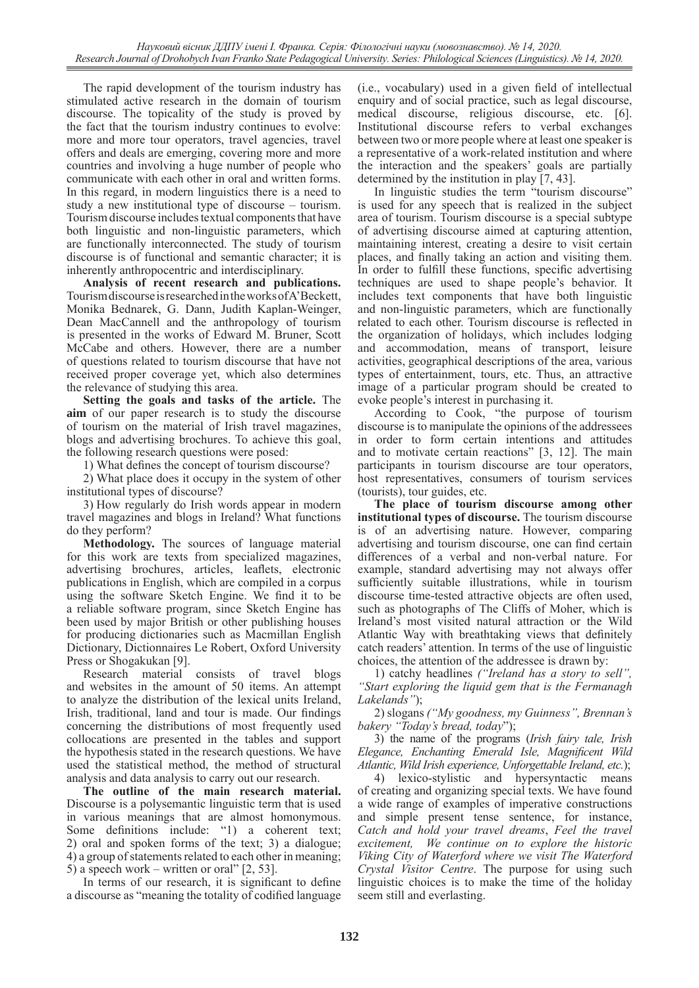The rapid development of the tourism industry has stimulated active research in the domain of tourism discourse. The topicality of the study is proved by the fact that the tourism industry continues to evolve: more and more tour operators, travel agencies, travel offers and deals are emerging, covering more and more countries and involving a huge number of people who communicate with each other in oral and written forms. In this regard, in modern linguistics there is a need to study a new institutional type of discourse – tourism. Tourism discourse includes textual components that have both linguistic and non-linguistic parameters, which are functionally interconnected. The study of tourism discourse is of functional and semantic character; it is inherently anthropocentric and interdisciplinary.

**Analysis of recent research and publications.**  Tourism discourse is researched in the works of A'Beckett, Monika Bednarek, G. Dann, Judith Kaplan-Weinger, Dean MacCannell and the anthropology of tourism is presented in the works of Edward M. Bruner, Scott McCabe and others. However, there are a number of questions related to tourism discourse that have not received proper coverage yet, which also determines the relevance of studying this area.

**Setting the goals and tasks of the article.** The **aim** of our paper research is to study the discourse of tourism on the material of Irish travel magazines, blogs and advertising brochures. To achieve this goal, the following research questions were posed:

1) What defines the concept of tourism discourse?

2) What place does it occupy in the system of other institutional types of discourse?

3) How regularly do Irish words appear in modern travel magazines and blogs in Ireland? What functions do they perform?

**Methodology.** The sources of language material for this work are texts from specialized magazines, advertising brochures, articles, leaflets, electronic publications in English, which are compiled in a corpus using the software Sketch Engine. We find it to be a reliable software program, since Sketch Engine has been used by major British or other publishing houses for producing dictionaries such as Macmillan English Dictionary, Dictionnaires Le Robert, Oxford University Press or Shogakukan [9].

Research material consists of travel blogs and websites in the amount of 50 items. An attempt to analyze the distribution of the lexical units Ireland, Irish, traditional, land and tour is made. Our findings concerning the distributions of most frequently used collocations are presented in the tables and support the hypothesis stated in the research questions. We have used the statistical method, the method of structural analysis and data analysis to carry out our research.

**The outline of the main research material.**  Discourse is a polysemantic linguistic term that is used in various meanings that are almost homonymous. Some definitions include: "1) a coherent text; 2) oral and spoken forms of the text; 3) a dialogue; 4) a group of statements related to each other in meaning; 5) a speech work – written or oral" [2, 53].

In terms of our research, it is significant to define a discourse as "meaning the totality of codified language (i.e., vocabulary) used in a given field of intellectual enquiry and of social practice, such as legal discourse, medical discourse, religious discourse, etc. [6]. Institutional discourse refers to verbal exchanges between two or more people where at least one speaker is a representative of a work-related institution and where the interaction and the speakers' goals are partially determined by the institution in play [7, 43].

In linguistic studies the term "tourism discourse" is used for any speech that is realized in the subject area of tourism. Tourism discourse is a special subtype of advertising discourse aimed at capturing attention, maintaining interest, creating a desire to visit certain places, and finally taking an action and visiting them. In order to fulfill these functions, specific advertising techniques are used to shape people's behavior. It includes text components that have both linguistic and non-linguistic parameters, which are functionally related to each other. Tourism discourse is reflected in the organization of holidays, which includes lodging and accommodation, means of transport, leisure activities, geographical descriptions of the area, various types of entertainment, tours, etc. Thus, an attractive image of a particular program should be created to evoke people's interest in purchasing it.

According to Cook, "the purpose of tourism discourse is to manipulate the opinions of the addressees in order to form certain intentions and attitudes and to motivate certain reactions" [3, 12]. The main participants in tourism discourse are tour operators, host representatives, consumers of tourism services (tourists), tour guides, etc.

**The place of tourism discourse among other institutional types of discourse.** The tourism discourse is of an advertising nature. However, comparing advertising and tourism discourse, one can find certain differences of a verbal and non-verbal nature. For example, standard advertising may not always offer sufficiently suitable illustrations, while in tourism discourse time-tested attractive objects are often used, such as photographs of The Cliffs of Moher, which is Ireland's most visited natural attraction or the Wild Atlantic Way with breathtaking views that definitely catch readers' attention. In terms of the use of linguistic choices, the attention of the addressee is drawn by:

1) catchy headlines *("Ireland has a story to sell", "Start exploring the liquid gem that is the Fermanagh Lakelands"*);

2) slogans *("My goodness, my Guinness", Brennan's bakery "Today's bread, today*");

3) the name of the programs (*Irish fairy tale, Irish Elegance, Enchanting Emerald Isle, Magnificent Wild Atlantic, Wild Irish experience, Unforgettable Ireland, etc.*);

4) lexico-stylistic and hypersyntactic means of creating and organizing special texts. We have found a wide range of examples of imperative constructions and simple present tense sentence, for instance, *Catch and hold your travel dreams*, *Feel the travel excitement, We continue on to explore the historic Viking City of Waterford where we visit The Waterford Crystal Visitor Centre*. The purpose for using such linguistic choices is to make the time of the holiday seem still and everlasting.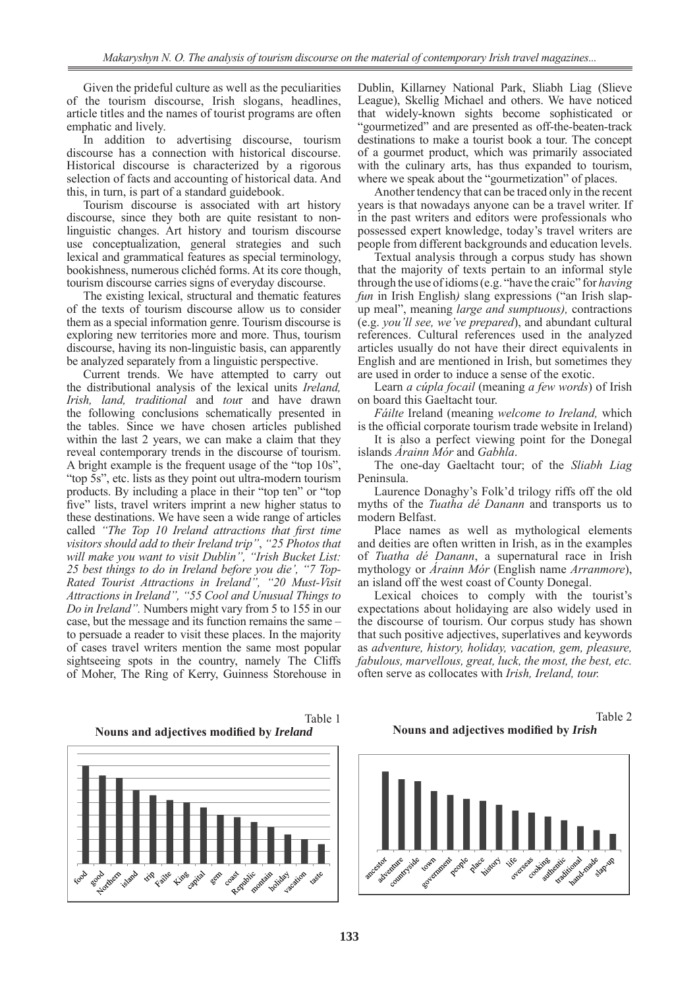Given the prideful culture as well as the peculiarities of the tourism discourse, Irish slogans, headlines, article titles and the names of tourist programs are often

emphatic and lively.<br>In addition to advertising discourse, tourism discourse has a connection with historical discourse. Historical discourse is characterized by a rigorous selection of facts and accounting of historical data. And this, in turn, is part of a standard guidebook.

Tourism discourse is associated with art history discourse, since they both are quite resistant to nonlinguistic changes. Art history and tourism discourse use conceptualization, general strategies and such lexical and grammatical features as special terminology, bookishness, numerous clichéd forms. At its core though, tourism discourse carries signs of everyday discourse.

The existing lexical, structural and thematic features of the texts of tourism discourse allow us to consider them as a special information genre. Tourism discourse is exploring new territories more and more. Thus, tourism discourse, having its non-linguistic basis, can apparently be analyzed separately from a linguistic perspective.

Current trends. We have attempted to carry out the distributional analysis of the lexical units *Ireland, Irish, land, traditional* and *tou*r and have drawn the following conclusions schematically presented in the tables. Since we have chosen articles published within the last 2 years, we can make a claim that they reveal contemporary trends in the discourse of tourism. A bright example is the frequent usage of the "top 10s", "top 5s", etc. lists as they point out ultra-modern tourism products. By including a place in their "top ten" or "top five" lists, travel writers imprint a new higher status to these destinations. We have seen a wide range of articles called *"The Top 10 Ireland attractions that first time visitors should add to their Ireland trip"*, *"25 Photos that will make you want to visit Dublin", "Irish Bucket List: 25 best things to do in Ireland before you die', "7 Top-Rated Tourist Attractions in Ireland", "20 Must-Visit Attractions in Ireland", "55 Cool and Unusual Things to Do in Ireland".* Numbers might vary from 5 to 155 in our case, but the message and its function remains the same – to persuade a reader to visit these places. In the majority of cases travel writers mention the same most popular sightseeing spots in the country, namely The Cliffs of Moher, The Ring of Kerry, Guinness Storehouse in

Dublin, Killarney National Park, Sliabh Liag (Slieve League), Skellig Michael and others. We have noticed that widely-known sights become sophisticated or "gourmetized" and are presented as off-the-beaten-track destinations to make a tourist book a tour. The concept of a gourmet product, which was primarily associated with the culinary arts, has thus expanded to tourism, where we speak about the "gourmetization" of places.

Another tendency that can be traced only in the recent years is that nowadays anyone can be a travel writer. If in the past writers and editors were professionals who possessed expert knowledge, today's travel writers are people from different backgrounds and education levels.

Textual analysis through a corpus study has shown that the majority of texts pertain to an informal style through the use of idioms (e.g. "have the craic" for *having fun* in Irish English*)* slang expressions ("an Irish slapup meal", meaning *large and sumptuous),* contractions (e.g. *you'll see, we've prepared*), and abundant cultural references. Cultural references used in the analyzed articles usually do not have their direct equivalents in English and are mentioned in Irish, but sometimes they are used in order to induce a sense of the exotic.

Learn *a cúpla focail* (meaning *a few words*) of Irish on board this Gaeltacht tour.

*Fáilte* Ireland (meaning *welcome to Ireland,* which is the official corporate tourism trade website in Ireland)

It is also a perfect viewing point for the Donegal islands *Árainn Mór* and *Gabhla*.

The one-day Gaeltacht tour; of the *Sliabh Liag* Peninsula.

Laurence Donaghy's Folk'd trilogy riffs off the old myths of the *Tuatha dé Danann* and transports us to modern Belfast.

Place names as well as mythological elements and deities are often written in Irish, as in the examples of *Tuatha dé Danann*, a supernatural race in Irish mythology or *Árainn Mór* (English name *Arranmore*), an island off the west coast of County Donegal.

Lexical choices to comply with the tourist's expectations about holidaying are also widely used in the discourse of tourism. Our corpus study has shown that such positive adjectives, superlatives and keywords as *adventure, history, holiday, vacation, gem, pleasure, fabulous, marvellous, great, luck, the most, the best, etc.*  often serve as collocates with *Irish, Ireland, tour.* 



Table 1 **Nouns and adjectives modified by** *Ireland*

Table 2 **Nouns and adjectives modified by** *Irish*

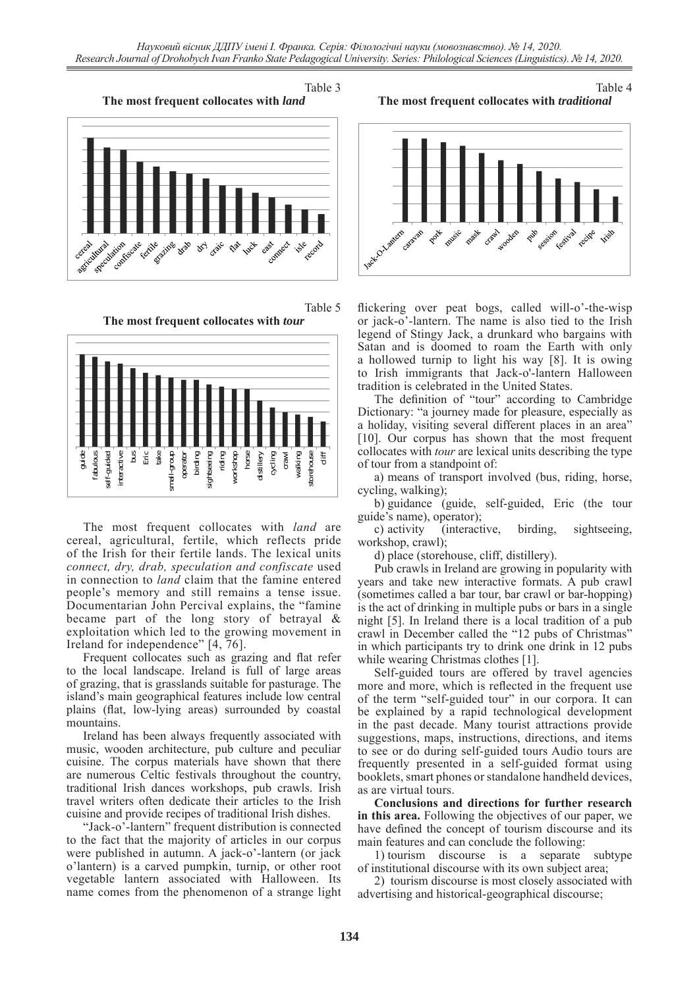Table 3







The most frequent collocates with *land* are cereal, agricultural, fertile, which reflects pride of the Irish for their fertile lands. The lexical units *connect, dry, drab, speculation and confiscate* used in connection to *land* claim that the famine entered people's memory and still remains a tense issue. Documentarian John Percival explains, the "famine became part of the long story of betrayal & exploitation which led to the growing movement in Ireland for independence" [4, 76].

Frequent collocates such as grazing and flat refer to the local landscape. Ireland is full of large areas of grazing, that is grasslands suitable for pasturage. The island's main geographical features include low central plains (flat, low-lying areas) surrounded by coastal mountains.

Ireland has been always frequently associated with music, wooden architecture, pub culture and peculiar cuisine. The corpus materials have shown that there are numerous Celtic festivals throughout the country, traditional Irish dances workshops, pub crawls. Irish travel writers often dedicate their articles to the Irish cuisine and provide recipes of traditional Irish dishes.

"Jack-o'-lantern" frequent distribution is connected to the fact that the majority of articles in our corpus were published in autumn. A jack-o'-lantern (or jack o'lantern) is a carved pumpkin, turnip, or other root vegetable lantern associated with Halloween. Its name comes from the phenomenon of a strange light

#### Table 4 **The most frequent collocates with** *traditional*



flickering over peat bogs, called will-o'-the-wisp or jack-o'-lantern. The name is also tied to the Irish legend of Stingy Jack, a drunkard who bargains with Satan and is doomed to roam the Earth with only a hollowed turnip to light his way [8]. It is owing to Irish immigrants that Jack-o'-lantern Halloween tradition is celebrated in the United States.

The definition of "tour" according to Cambridge Dictionary: "a journey made for pleasure, especially as a holiday, visiting several different places in an area" [10]. Our corpus has shown that the most frequent collocates with *tour* are lexical units describing the type of tour from a standpoint of:

a) means of transport involved (bus, riding, horse, cycling, walking);

b) guidance (guide, self-guided, Eric (the tour guide's name), operator);

c) activity (interactive, birding, sightseeing, workshop, crawl);

d) place (storehouse, cliff, distillery).

Pub crawls in Ireland are growing in popularity with years and take new interactive formats. A pub crawl (sometimes called a bar tour, bar crawl or bar-hopping) is the act of drinking in multiple pubs or bars in a single night [5]. In Ireland there is a local tradition of a pub crawl in December called the "12 pubs of Christmas" in which participants try to drink one drink in 12 pubs while wearing Christmas clothes [1].

Self-guided tours are offered by travel agencies more and more, which is reflected in the frequent use of the term "self-guided tour" in our corpora. It can be explained by a rapid technological development in the past decade. Many tourist attractions provide suggestions, maps, instructions, directions, and items to see or do during self-guided tours Audio tours are frequently presented in a self-guided format using booklets, smart phones or standalone handheld devices, as are virtual tours.

**Conclusions and directions for further research in this area.** Following the objectives of our paper, we have defined the concept of tourism discourse and its main features and can conclude the following:

1) tourism discourse is a separate subtype of institutional discourse with its own subject area;

2) tourism discourse is most closely associated with advertising and historical-geographical discourse;